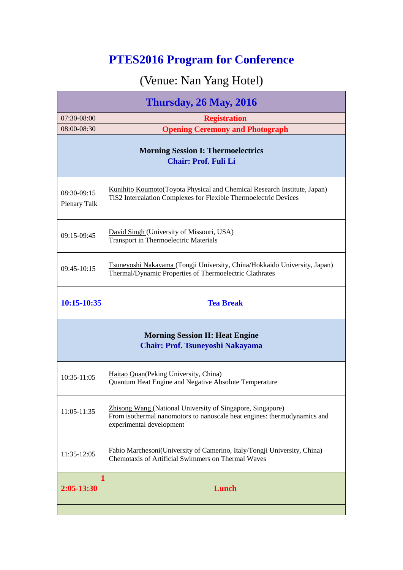## **PTES2016 Program for Conference**

## (Venue: Nan Yang Hotel)

| <b>Thursday, 26 May, 2016</b>                                                     |                                                                                                                                                                    |  |
|-----------------------------------------------------------------------------------|--------------------------------------------------------------------------------------------------------------------------------------------------------------------|--|
| 07:30-08:00                                                                       | <b>Registration</b>                                                                                                                                                |  |
| $08:00 - 08:30$                                                                   | <b>Opening Ceremony and Photograph</b>                                                                                                                             |  |
| <b>Morning Session I: Thermoelectrics</b><br><b>Chair: Prof. Fuli Li</b>          |                                                                                                                                                                    |  |
| $08:30-09:15$<br><b>Plenary Talk</b>                                              | Kunihito Koumoto (Toyota Physical and Chemical Research Institute, Japan)<br>TiS2 Intercalation Complexes for Flexible Thermoelectric Devices                      |  |
| $09:15-09:45$                                                                     | David Singh (University of Missouri, USA)<br><b>Transport in Thermoelectric Materials</b>                                                                          |  |
| 09:45-10:15                                                                       | Tsuneyoshi Nakayama (Tongji University, China/Hokkaido University, Japan)<br>Thermal/Dynamic Properties of Thermoelectric Clathrates                               |  |
| 10:15-10:35                                                                       | <b>Tea Break</b>                                                                                                                                                   |  |
| <b>Morning Session II: Heat Engine</b><br><b>Chair: Prof. Tsuneyoshi Nakayama</b> |                                                                                                                                                                    |  |
| 10:35-11:05                                                                       | Haitao Quan (Peking University, China)<br>Quantum Heat Engine and Negative Absolute Temperature                                                                    |  |
| $11:05-11:35$                                                                     | Zhisong Wang (National University of Singapore, Singapore)<br>From isothermal nanomotors to nanoscale heat engines: thermodynamics and<br>experimental development |  |
| 11:35-12:05                                                                       | Fabio Marchesoni(University of Camerino, Italy/Tongji University, China)<br>Chemotaxis of Artificial Swimmers on Thermal Waves                                     |  |
| 2:05-13:30                                                                        | Lunch                                                                                                                                                              |  |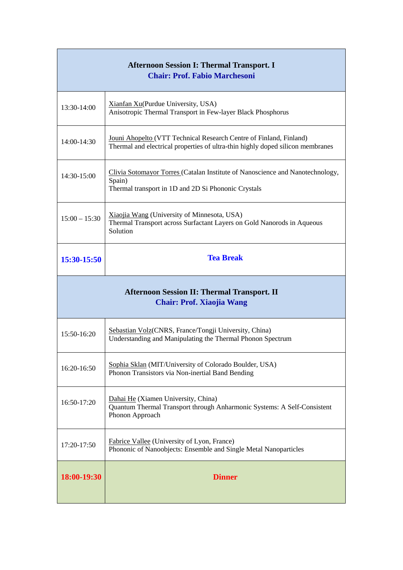| <b>Afternoon Session I: Thermal Transport. I</b><br><b>Chair: Prof. Fabio Marchesoni</b> |                                                                                                                                                      |
|------------------------------------------------------------------------------------------|------------------------------------------------------------------------------------------------------------------------------------------------------|
| 13:30-14:00                                                                              | Xianfan Xu(Purdue University, USA)<br>Anisotropic Thermal Transport in Few-layer Black Phosphorus                                                    |
| 14:00-14:30                                                                              | Jouni Ahopelto (VTT Technical Research Centre of Finland, Finland)<br>Thermal and electrical properties of ultra-thin highly doped silicon membranes |
| 14:30-15:00                                                                              | Clivia Sotomayor Torres (Catalan Institute of Nanoscience and Nanotechnology,<br>Spain)<br>Thermal transport in 1D and 2D Si Phononic Crystals       |
| $15:00 - 15:30$                                                                          | Xiaojia Wang (University of Minnesota, USA)<br>Thermal Transport across Surfactant Layers on Gold Nanorods in Aqueous<br>Solution                    |
| 15:30-15:50                                                                              | <b>Tea Break</b>                                                                                                                                     |
| <b>Afternoon Session II: Thermal Transport. II</b><br><b>Chair: Prof. Xiaojia Wang</b>   |                                                                                                                                                      |
|                                                                                          |                                                                                                                                                      |
| 15:50-16:20                                                                              | Sebastian Volz(CNRS, France/Tongji University, China)<br>Understanding and Manipulating the Thermal Phonon Spectrum                                  |
| 16:20-16:50                                                                              | Sophia Sklan (MIT/University of Colorado Boulder, USA)<br>Phonon Transistors via Non-inertial Band Bending                                           |
| 16:50-17:20                                                                              | Dahai He (Xiamen University, China)<br>Quantum Thermal Transport through Anharmonic Systems: A Self-Consistent<br>Phonon Approach                    |
| 17:20-17:50                                                                              | Fabrice Vallee (University of Lyon, France)<br>Phononic of Nanoobjects: Ensemble and Single Metal Nanoparticles                                      |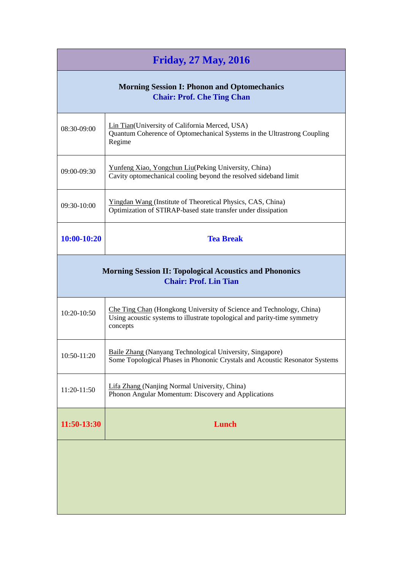| <b>Friday, 27 May, 2016</b>                                                                    |                                                                                                                                                               |
|------------------------------------------------------------------------------------------------|---------------------------------------------------------------------------------------------------------------------------------------------------------------|
| <b>Morning Session I: Phonon and Optomechanics</b><br><b>Chair: Prof. Che Ting Chan</b>        |                                                                                                                                                               |
| 08:30-09:00                                                                                    | Lin Tian(University of California Merced, USA)<br>Quantum Coherence of Optomechanical Systems in the Ultrastrong Coupling<br>Regime                           |
| 09:00-09:30                                                                                    | Yunfeng Xiao, Yongchun Liu(Peking University, China)<br>Cavity optomechanical cooling beyond the resolved sideband limit                                      |
| 09:30-10:00                                                                                    | <b>Yingdan Wang (Institute of Theoretical Physics, CAS, China)</b><br>Optimization of STIRAP-based state transfer under dissipation                           |
| 10:00-10:20                                                                                    | <b>Tea Break</b>                                                                                                                                              |
| <b>Morning Session II: Topological Acoustics and Phononics</b><br><b>Chair: Prof. Lin Tian</b> |                                                                                                                                                               |
| $10:20-10:50$                                                                                  | Che Ting Chan (Hongkong University of Science and Technology, China)<br>Using acoustic systems to illustrate topological and parity-time symmetry<br>concepts |
| 10:50-11:20                                                                                    | Baile Zhang (Nanyang Technological University, Singapore)<br>Some Topological Phases in Phononic Crystals and Acoustic Resonator Systems                      |
| 11:20-11:50                                                                                    | Lifa Zhang (Nanjing Normal University, China)<br>Phonon Angular Momentum: Discovery and Applications                                                          |
| 11:50-13:30                                                                                    | Lunch                                                                                                                                                         |
|                                                                                                |                                                                                                                                                               |
|                                                                                                |                                                                                                                                                               |
|                                                                                                |                                                                                                                                                               |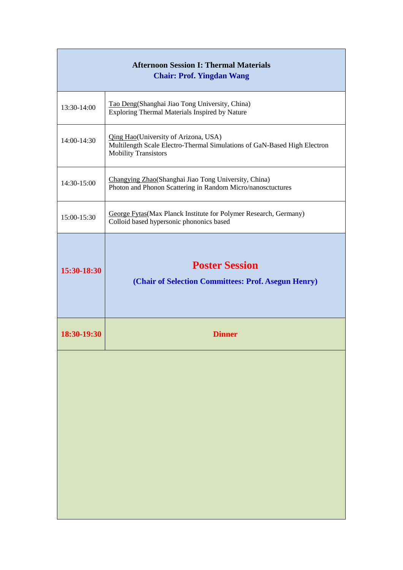| <b>Afternoon Session I: Thermal Materials</b><br><b>Chair: Prof. Yingdan Wang</b> |                                                                                                                                                         |
|-----------------------------------------------------------------------------------|---------------------------------------------------------------------------------------------------------------------------------------------------------|
| 13:30-14:00                                                                       | Tao Deng(Shanghai Jiao Tong University, China)<br>Exploring Thermal Materials Inspired by Nature                                                        |
| 14:00-14:30                                                                       | <b>Qing Hao</b> (University of Arizona, USA)<br>Multilength Scale Electro-Thermal Simulations of GaN-Based High Electron<br><b>Mobility Transistors</b> |
| 14:30-15:00                                                                       | Changying Zhao(Shanghai Jiao Tong University, China)<br>Photon and Phonon Scattering in Random Micro/nanosctuctures                                     |
| 15:00-15:30                                                                       | George Fytas(Max Planck Institute for Polymer Research, Germany)<br>Colloid based hypersonic phononics based                                            |
| 15:30-18:30                                                                       | <b>Poster Session</b><br>(Chair of Selection Committees: Prof. Asegun Henry)                                                                            |
| 18:30-19:30                                                                       | <b>Dinner</b>                                                                                                                                           |
|                                                                                   |                                                                                                                                                         |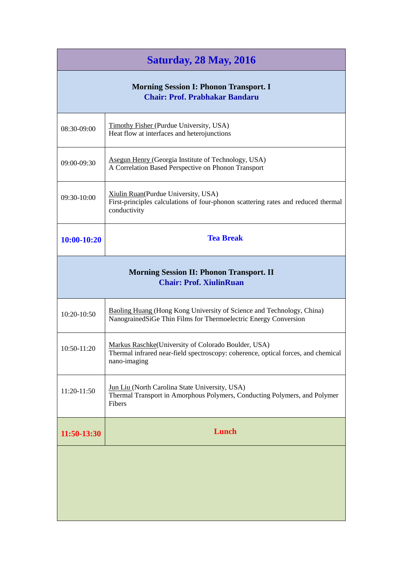| <b>Saturday, 28 May, 2016</b>                                                          |                                                                                                                                                          |
|----------------------------------------------------------------------------------------|----------------------------------------------------------------------------------------------------------------------------------------------------------|
| <b>Morning Session I: Phonon Transport. I</b><br><b>Chair: Prof. Prabhakar Bandaru</b> |                                                                                                                                                          |
| 08:30-09:00                                                                            | <b>Timothy Fisher (Purdue University, USA)</b><br>Heat flow at interfaces and heterojunctions                                                            |
| 09:00-09:30                                                                            | Asegun Henry (Georgia Institute of Technology, USA)<br>A Correlation Based Perspective on Phonon Transport                                               |
| 09:30-10:00                                                                            | Xiulin Ruan(Purdue University, USA)<br>First-principles calculations of four-phonon scattering rates and reduced thermal<br>conductivity                 |
| $10:00-10:20$                                                                          | <b>Tea Break</b>                                                                                                                                         |
| <b>Morning Session II: Phonon Transport. II</b><br><b>Chair: Prof. XiulinRuan</b>      |                                                                                                                                                          |
| 10:20-10:50                                                                            | Baoling Huang (Hong Kong University of Science and Technology, China)<br>NanograinedSiGe Thin Films for Thermoelectric Energy Conversion                 |
| 10:50-11:20                                                                            | Markus Raschke(University of Colorado Boulder, USA)<br>Thermal infrared near-field spectroscopy: coherence, optical forces, and chemical<br>nano-imaging |
| 11:20-11:50                                                                            | Jun Liu (North Carolina State University, USA)<br>Thermal Transport in Amorphous Polymers, Conducting Polymers, and Polymer<br>Fibers                    |
| 11:50-13:30                                                                            | Lunch                                                                                                                                                    |
|                                                                                        |                                                                                                                                                          |
|                                                                                        |                                                                                                                                                          |
|                                                                                        |                                                                                                                                                          |